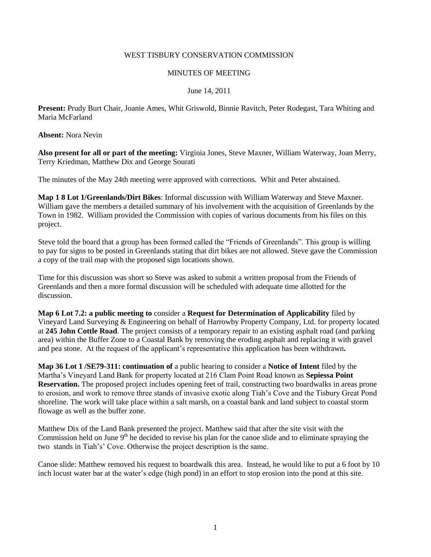### WEST TISBURY CONSERVATION COMMISSION

### MINUTES OF MEETING

## June 14, 2011

**Present:** Prudy Burt Chair, Joanie Ames, Whit Griswold, Binnie Ravitch, Peter Rodegast, Tara Whiting and Maria McFarland

**Absent:** Nora Nevin

**Also present for all or part of the meeting:** Virginia Jones, Steve Maxner, William Waterway, Joan Merry, Terry Kriedman, Matthew Dix and George Sourati

The minutes of the May 24th meeting were approved with corrections. Whit and Peter abstained.

**Map 1 8 Lot 1/Greenlands/Dirt Bikes**: Informal discussion with William Waterway and Steve Maxner. William gave the members a detailed summary of his involvement with the acquisition of Greenlands by the Town in 1982. William provided the Commission with copies of various documents from his files on this project.

Steve told the board that a group has been formed called the "Friends of Greenlands". This group is willing to pay for signs to be posted in Greenlands stating that dirt bikes are not allowed. Steve gave the Commission a copy of the trail map with the proposed sign locations shown.

Time for this discussion was short so Steve was asked to submit a written proposal from the Friends of Greenlands and then a more formal discussion will be scheduled with adequate time allotted for the discussion.

**Map 6 Lot 7.2: a public meeting to** consider a **Request for Determination of Applicability** filed by Vineyard Land Surveying & Engineering on behalf of Harrowby Property Company, Ltd. for property located at **245 John Cottle Road**. The project consists of a temporary repair to an existing asphalt road (and parking area) within the Buffer Zone to a Coastal Bank by removing the eroding asphalt and replacing it with gravel and pea stone. At the request of the applicant's representative this application has been withdrawn**.** 

**Map 36 Lot 1 /SE79-311: continuation of** a public hearing to consider a **Notice of Intent** filed by the Martha's Vineyard Land Bank for property located at 216 Clam Point Road known as **Sepiessa Point Reservation.** The proposed project includes opening feet of trail, constructing two boardwalks in areas prone to erosion, and work to remove three stands of invasive exotic along Tiah's Cove and the Tisbury Great Pond shoreline. The work will take place within a salt marsh, on a coastal bank and land subject to coastal storm flowage as well as the buffer zone.

Matthew Dix of the Land Bank presented the project. Matthew said that after the site visit with the Commission held on June 9<sup>th</sup> he decided to revise his plan for the canoe slide and to eliminate spraying the two stands in Tiah's' Cove. Otherwise the project description is the same.

Canoe slide: Matthew removed his request to boardwalk this area. Instead, he would like to put a 6 foot by 10 inch locust water bar at the water's edge (high pond) in an effort to stop erosion into the pond at this site.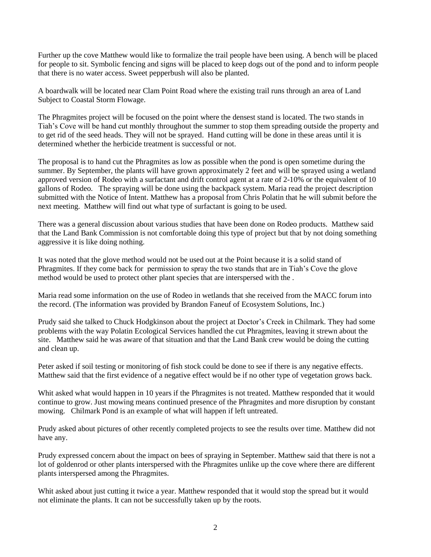Further up the cove Matthew would like to formalize the trail people have been using. A bench will be placed for people to sit. Symbolic fencing and signs will be placed to keep dogs out of the pond and to inform people that there is no water access. Sweet pepperbush will also be planted.

A boardwalk will be located near Clam Point Road where the existing trail runs through an area of Land Subject to Coastal Storm Flowage.

The Phragmites project will be focused on the point where the densest stand is located. The two stands in Tiah's Cove will be hand cut monthly throughout the summer to stop them spreading outside the property and to get rid of the seed heads. They will not be sprayed. Hand cutting will be done in these areas until it is determined whether the herbicide treatment is successful or not.

The proposal is to hand cut the Phragmites as low as possible when the pond is open sometime during the summer. By September, the plants will have grown approximately 2 feet and will be sprayed using a wetland approved version of Rodeo with a surfactant and drift control agent at a rate of 2-10% or the equivalent of 10 gallons of Rodeo. The spraying will be done using the backpack system. Maria read the project description submitted with the Notice of Intent. Matthew has a proposal from Chris Polatin that he will submit before the next meeting. Matthew will find out what type of surfactant is going to be used.

There was a general discussion about various studies that have been done on Rodeo products. Matthew said that the Land Bank Commission is not comfortable doing this type of project but that by not doing something aggressive it is like doing nothing.

It was noted that the glove method would not be used out at the Point because it is a solid stand of Phragmites. If they come back for permission to spray the two stands that are in Tiah's Cove the glove method would be used to protect other plant species that are interspersed with the .

Maria read some information on the use of Rodeo in wetlands that she received from the MACC forum into the record. (The information was provided by Brandon Faneuf of Ecosystem Solutions, Inc.)

Prudy said she talked to Chuck Hodgkinson about the project at Doctor's Creek in Chilmark. They had some problems with the way Polatin Ecological Services handled the cut Phragmites, leaving it strewn about the site. Matthew said he was aware of that situation and that the Land Bank crew would be doing the cutting and clean up.

Peter asked if soil testing or monitoring of fish stock could be done to see if there is any negative effects. Matthew said that the first evidence of a negative effect would be if no other type of vegetation grows back.

Whit asked what would happen in 10 years if the Phragmites is not treated. Matthew responded that it would continue to grow. Just mowing means continued presence of the Phragmites and more disruption by constant mowing. Chilmark Pond is an example of what will happen if left untreated.

Prudy asked about pictures of other recently completed projects to see the results over time. Matthew did not have any.

Prudy expressed concern about the impact on bees of spraying in September. Matthew said that there is not a lot of goldenrod or other plants interspersed with the Phragmites unlike up the cove where there are different plants interspersed among the Phragmites.

Whit asked about just cutting it twice a year. Matthew responded that it would stop the spread but it would not eliminate the plants. It can not be successfully taken up by the roots.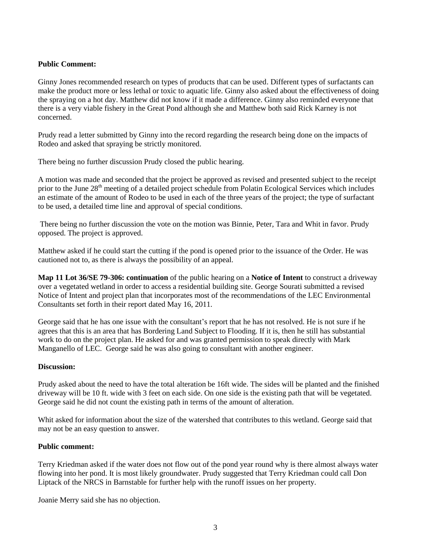# **Public Comment:**

Ginny Jones recommended research on types of products that can be used. Different types of surfactants can make the product more or less lethal or toxic to aquatic life. Ginny also asked about the effectiveness of doing the spraying on a hot day. Matthew did not know if it made a difference. Ginny also reminded everyone that there is a very viable fishery in the Great Pond although she and Matthew both said Rick Karney is not concerned.

Prudy read a letter submitted by Ginny into the record regarding the research being done on the impacts of Rodeo and asked that spraying be strictly monitored.

There being no further discussion Prudy closed the public hearing.

A motion was made and seconded that the project be approved as revised and presented subject to the receipt prior to the June 28<sup>th</sup> meeting of a detailed project schedule from Polatin Ecological Services which includes an estimate of the amount of Rodeo to be used in each of the three years of the project; the type of surfactant to be used, a detailed time line and approval of special conditions.

There being no further discussion the vote on the motion was Binnie, Peter, Tara and Whit in favor. Prudy opposed. The project is approved.

Matthew asked if he could start the cutting if the pond is opened prior to the issuance of the Order. He was cautioned not to, as there is always the possibility of an appeal.

**Map 11 Lot 36/SE 79-306: continuation** of the public hearing on a **Notice of Intent** to construct a driveway over a vegetated wetland in order to access a residential building site. George Sourati submitted a revised Notice of Intent and project plan that incorporates most of the recommendations of the LEC Environmental Consultants set forth in their report dated May 16, 2011.

George said that he has one issue with the consultant's report that he has not resolved. He is not sure if he agrees that this is an area that has Bordering Land Subject to Flooding. If it is, then he still has substantial work to do on the project plan. He asked for and was granted permission to speak directly with Mark Manganello of LEC. George said he was also going to consultant with another engineer.

# **Discussion:**

Prudy asked about the need to have the total alteration be 16ft wide. The sides will be planted and the finished driveway will be 10 ft. wide with 3 feet on each side. On one side is the existing path that will be vegetated. George said he did not count the existing path in terms of the amount of alteration.

Whit asked for information about the size of the watershed that contributes to this wetland. George said that may not be an easy question to answer.

# **Public comment:**

Terry Kriedman asked if the water does not flow out of the pond year round why is there almost always water flowing into her pond. It is most likely groundwater. Prudy suggested that Terry Kriedman could call Don Liptack of the NRCS in Barnstable for further help with the runoff issues on her property.

Joanie Merry said she has no objection.